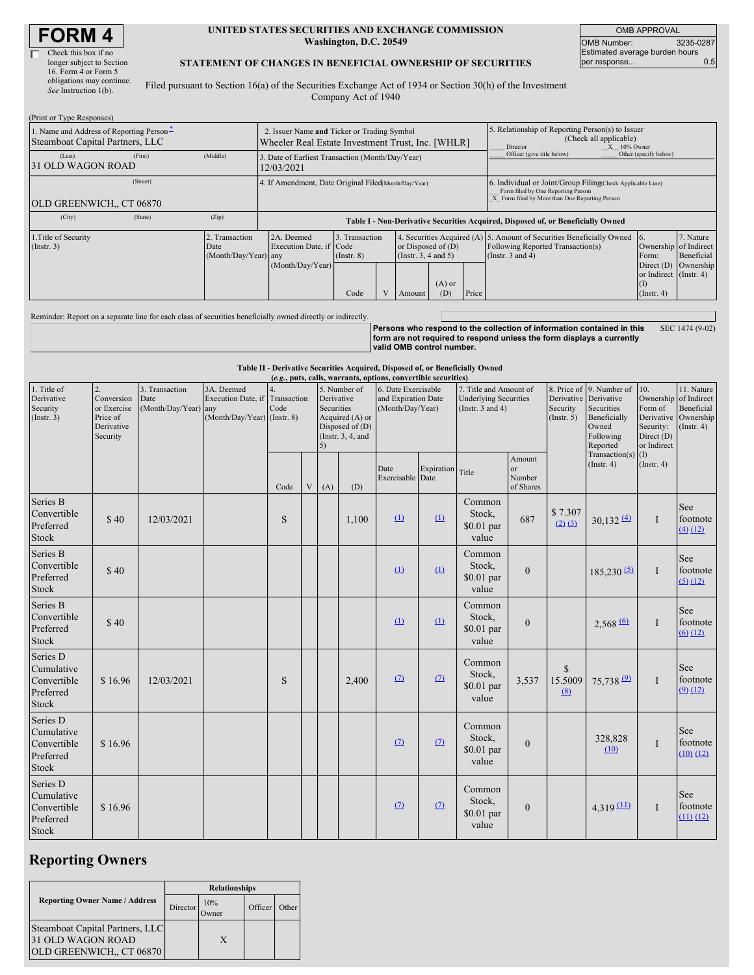# **FORM 4**

| Check this box if no      |
|---------------------------|
| longer subject to Section |
| 16. Form 4 or Form 5      |
| obligations may continue. |
| See Instruction 1(b).     |

### **UNITED STATES SECURITIES AND EXCHANGE COMMISSION Washington, D.C. 20549**

OMB APPROVAL OMB Number: 3235-0287 Estimated average burden hours<br>per response... 0.5 per response..

### **STATEMENT OF CHANGES IN BENEFICIAL OWNERSHIP OF SECURITIES**

Filed pursuant to Section 16(a) of the Securities Exchange Act of 1934 or Section 30(h) of the Investment Company Act of 1940

| (Print or Type Responses)                                                   |         |                                                |                                                                                                  |                                   |  |                                                  |                                                                                                       |                                                                                                                                                    |                                                                                                                                     |                                                                    |                         |
|-----------------------------------------------------------------------------|---------|------------------------------------------------|--------------------------------------------------------------------------------------------------|-----------------------------------|--|--------------------------------------------------|-------------------------------------------------------------------------------------------------------|----------------------------------------------------------------------------------------------------------------------------------------------------|-------------------------------------------------------------------------------------------------------------------------------------|--------------------------------------------------------------------|-------------------------|
| 1. Name and Address of Reporting Person-<br>Steamboat Capital Partners, LLC |         |                                                | 2. Issuer Name and Ticker or Trading Symbol<br>Wheeler Real Estate Investment Trust, Inc. [WHLR] |                                   |  |                                                  | 5. Relationship of Reporting Person(s) to Issuer<br>(Check all applicable)<br>X 10% Owner<br>Director |                                                                                                                                                    |                                                                                                                                     |                                                                    |                         |
| (Last)<br>31 OLD WAGON ROAD                                                 | (First) | (Middle)                                       | 3. Date of Earliest Transaction (Month/Day/Year)<br>12/03/2021                                   |                                   |  |                                                  | Officer (give title below)                                                                            | Other (specify below)                                                                                                                              |                                                                                                                                     |                                                                    |                         |
| (Street)<br><b>OLD GREENWICH., CT 06870</b>                                 |         |                                                | 4. If Amendment, Date Original Filed(Month/Day/Year)                                             |                                   |  |                                                  |                                                                                                       | 6. Individual or Joint/Group Filing(Check Applicable Line)<br>Form filed by One Reporting Person<br>X Form filed by More than One Reporting Person |                                                                                                                                     |                                                                    |                         |
| (City)                                                                      | (State) | (Zip)                                          | Table I - Non-Derivative Securities Acquired, Disposed of, or Beneficially Owned                 |                                   |  |                                                  |                                                                                                       |                                                                                                                                                    |                                                                                                                                     |                                                                    |                         |
| 1. Title of Security<br>$($ Instr. 3 $)$                                    |         | 2. Transaction<br>Date<br>(Month/Day/Year) any | 2A. Deemed<br>Execution Date, if Code<br>(Month/Day/Year)                                        | 3. Transaction<br>$($ Instr. $8)$ |  | or Disposed of $(D)$<br>(Instr. $3, 4$ and $5$ ) |                                                                                                       |                                                                                                                                                    | 4. Securities Acquired (A) 5. Amount of Securities Beneficially Owned<br>Following Reported Transaction(s)<br>(Instr. $3$ and $4$ ) | 7. Nature<br>16.<br>Ownership of Indirect<br>Form:<br>Direct $(D)$ | Beneficial<br>Ownership |
|                                                                             |         |                                                |                                                                                                  | Code                              |  | Amount                                           | $(A)$ or<br>(D)                                                                                       | Price                                                                                                                                              |                                                                                                                                     | or Indirect (Instr. 4)<br>(I)<br>$($ Instr. 4 $)$                  |                         |
|                                                                             |         |                                                |                                                                                                  |                                   |  |                                                  |                                                                                                       |                                                                                                                                                    |                                                                                                                                     |                                                                    |                         |

Reminder: Report on a separate line for each class of securities beneficially owned directly or indirectly. **Persons who respond to the collection of information contained in this**

**form are not required to respond unless the form displays a currently valid OMB control number.** SEC 1474 (9-02)

**Table II - Derivative Securities Acquired, Disposed of, or Beneficially Owned (***e.g.***, puts, calls, warrants, options, convertible securities)** 1. Title of Derivative Security  $($ Instr $, 3)$ 2. Conversion or Exercise Price of Derivative Security 3. Transaction Date (Month/Day/Year) 3A. Deemed Execution Date, if any (Month/Day/Year) 4. **Transaction** Code (Instr. 8) 5. Number of Derivative Securities Acquired (A) or Disposed of (D) (Instr. 3, 4, and 5) 6. Date Exercisable and Expiration Date (Month/Day/Year) 7. Title and Amount of Underlying Securities (Instr. 3 and 4) 8. Price of Derivative Security  $(Insert 5)$ 9. Number of Derivative Securities Beneficially Owned Following Reported Transaction(s) (Instr. 4) 10. Ownership Form of **Derivative** Security: Direct (D) or Indirect (I) (Instr. 4) 11. Nature of Indirect Beneficial Ownership  $(Insert 4)$  $Code \mid V \mid (A) \mid (D)$ Date Exercisable **Expiration** Date Title Amount or Number of Shares Series B Convertible Preferred Stock \$ 40 12/03/2021 S 1,100  $(1)$   $(1)$ Common Stock, \$0.01 par value 687  $$7.307$ <br>(2) (3)  $\frac{(2)(3)}{(3)}$  30,132 $\frac{(4)}{(4)}$  I See footnote (4) (12) Series B Convertible Preferred Stock \$ 40  $(1)$   $(1)$ Common Stock, \$0.01 par value 0  $185,230 (5)$  I See footnote  $(5)$   $(12)$ Series B Convertible Preferred Stock \$ 40  $\Omega$   $\Omega$ Common Stock, \$0.01 par value 0 2,568 $\frac{(6)}{1}$  I See footnote  $(6)$   $(12)$ Series D Cumulative Convertible Preferred Stock  $$ 16.96 \mid 12/03/2021 \mid S \mid 32.400$  $(2)$   $(7)$ Common Stock, \$0.01 par value 3,537 \$ 15.5009 (8) 75,738 $9 \mid$  I See footnote  $(9)$   $(12)$ Series D Cumulative Common Stock, 328,828 See

 $(7)$  (7)

 $(7)$   $(7)$ 

\$0.01 par value

Common Stock, \$0.01 par value

0

(10)

0  $4,319$   $(11)$  I

I

footnote (10) (12)

See footnote (11) (12)

# **Reporting Owners**

\$ 16.96

\$ 16.96

Convertible Preferred Stock

Series D Cumulative Convertible Preferred Stock

|                                                                                  | <b>Relationships</b> |              |         |       |  |
|----------------------------------------------------------------------------------|----------------------|--------------|---------|-------|--|
| <b>Reporting Owner Name / Address</b>                                            | Director             | 10%<br>)wner | Officer | Other |  |
| Steamboat Capital Partners, LLC<br>31 OLD WAGON ROAD<br>OLD GREENWICH., CT 06870 |                      | X            |         |       |  |